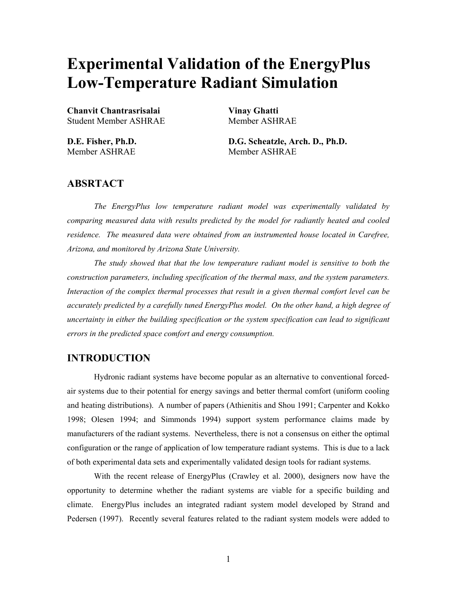# **Experimental Validation of the EnergyPlus Low-Temperature Radiant Simulation**

**Chanvit Chantrasrisalai Vinay Ghatti**  Student Member ASHRAE Member ASHRAE

Member ASHRAE Member ASHRAE

**D.E. Fisher, Ph.D. D.G. Scheatzle, Arch. D., Ph.D.** 

## **ABSRTACT**

*The EnergyPlus low temperature radiant model was experimentally validated by comparing measured data with results predicted by the model for radiantly heated and cooled residence. The measured data were obtained from an instrumented house located in Carefree, Arizona, and monitored by Arizona State University.* 

*The study showed that that the low temperature radiant model is sensitive to both the construction parameters, including specification of the thermal mass, and the system parameters. Interaction of the complex thermal processes that result in a given thermal comfort level can be accurately predicted by a carefully tuned EnergyPlus model. On the other hand, a high degree of uncertainty in either the building specification or the system specification can lead to significant errors in the predicted space comfort and energy consumption.*

## **INTRODUCTION**

Hydronic radiant systems have become popular as an alternative to conventional forcedair systems due to their potential for energy savings and better thermal comfort (uniform cooling and heating distributions). A number of papers (Athienitis and Shou 1991; Carpenter and Kokko 1998; Olesen 1994; and Simmonds 1994) support system performance claims made by manufacturers of the radiant systems. Nevertheless, there is not a consensus on either the optimal configuration or the range of application of low temperature radiant systems. This is due to a lack of both experimental data sets and experimentally validated design tools for radiant systems.

With the recent release of EnergyPlus (Crawley et al. 2000), designers now have the opportunity to determine whether the radiant systems are viable for a specific building and climate. EnergyPlus includes an integrated radiant system model developed by Strand and Pedersen (1997). Recently several features related to the radiant system models were added to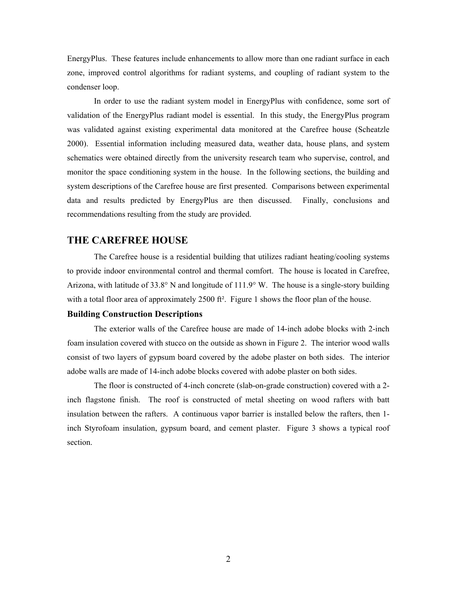EnergyPlus. These features include enhancements to allow more than one radiant surface in each zone, improved control algorithms for radiant systems, and coupling of radiant system to the condenser loop.

In order to use the radiant system model in EnergyPlus with confidence, some sort of validation of the EnergyPlus radiant model is essential. In this study, the EnergyPlus program was validated against existing experimental data monitored at the Carefree house (Scheatzle 2000). Essential information including measured data, weather data, house plans, and system schematics were obtained directly from the university research team who supervise, control, and monitor the space conditioning system in the house. In the following sections, the building and system descriptions of the Carefree house are first presented. Comparisons between experimental data and results predicted by EnergyPlus are then discussed. Finally, conclusions and recommendations resulting from the study are provided.

## **THE CAREFREE HOUSE**

The Carefree house is a residential building that utilizes radiant heating/cooling systems to provide indoor environmental control and thermal comfort. The house is located in Carefree, Arizona, with latitude of 33.8° N and longitude of 111.9° W. The house is a single-story building with a total floor area of approximately 2500 ft<sup>2</sup>. Figure 1 shows the floor plan of the house.

#### **Building Construction Descriptions**

The exterior walls of the Carefree house are made of 14-inch adobe blocks with 2-inch foam insulation covered with stucco on the outside as shown in Figure 2. The interior wood walls consist of two layers of gypsum board covered by the adobe plaster on both sides. The interior adobe walls are made of 14-inch adobe blocks covered with adobe plaster on both sides.

The floor is constructed of 4-inch concrete (slab-on-grade construction) covered with a 2 inch flagstone finish. The roof is constructed of metal sheeting on wood rafters with batt insulation between the rafters. A continuous vapor barrier is installed below the rafters, then 1 inch Styrofoam insulation, gypsum board, and cement plaster. Figure 3 shows a typical roof section.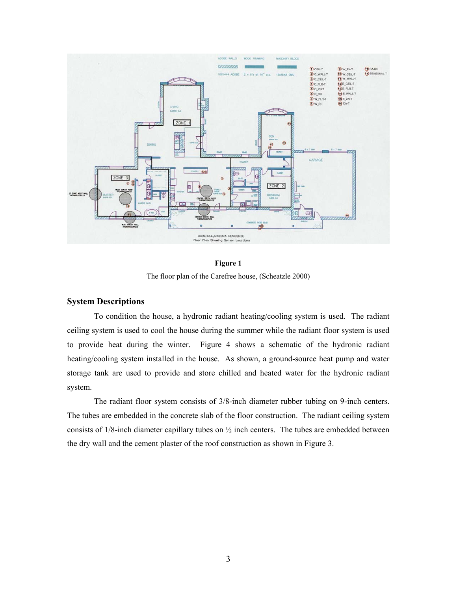

**Figure 1**  The floor plan of the Carefree house, (Scheatzle 2000)

#### **System Descriptions**

To condition the house, a hydronic radiant heating/cooling system is used. The radiant ceiling system is used to cool the house during the summer while the radiant floor system is used to provide heat during the winter. Figure 4 shows a schematic of the hydronic radiant heating/cooling system installed in the house. As shown, a ground-source heat pump and water storage tank are used to provide and store chilled and heated water for the hydronic radiant system.

The radiant floor system consists of 3/8-inch diameter rubber tubing on 9-inch centers. The tubes are embedded in the concrete slab of the floor construction. The radiant ceiling system consists of 1/8-inch diameter capillary tubes on  $\frac{1}{2}$  inch centers. The tubes are embedded between the dry wall and the cement plaster of the roof construction as shown in Figure 3.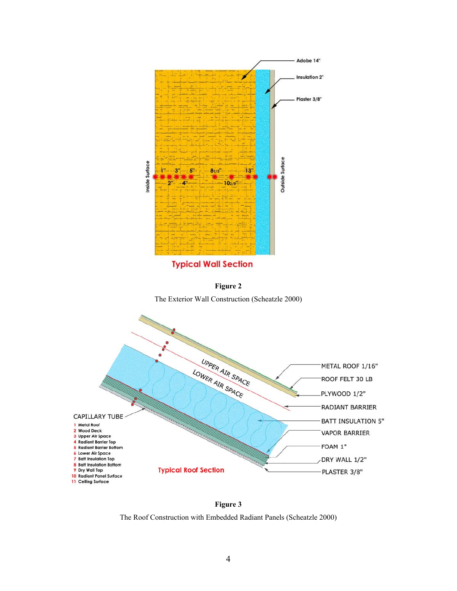

**Typical Wall Section** 



The Exterior Wall Construction (Scheatzle 2000)



**Figure 3**  The Roof Construction with Embedded Radiant Panels (Scheatzle 2000)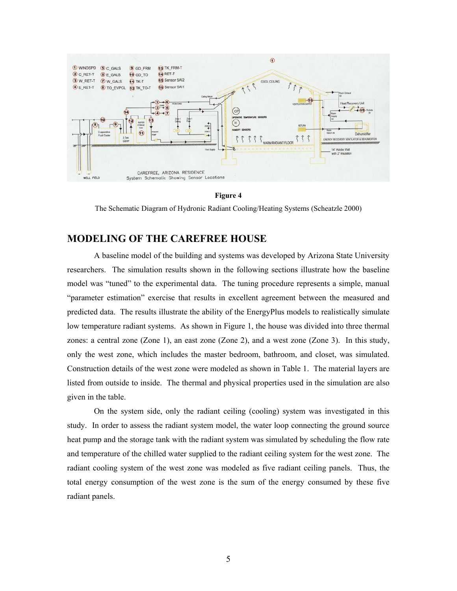

**Figure 4** 

The Schematic Diagram of Hydronic Radiant Cooling/Heating Systems (Scheatzle 2000)

## **MODELING OF THE CAREFREE HOUSE**

A baseline model of the building and systems was developed by Arizona State University researchers. The simulation results shown in the following sections illustrate how the baseline model was "tuned" to the experimental data. The tuning procedure represents a simple, manual "parameter estimation" exercise that results in excellent agreement between the measured and predicted data. The results illustrate the ability of the EnergyPlus models to realistically simulate low temperature radiant systems. As shown in Figure 1, the house was divided into three thermal zones: a central zone (Zone 1), an east zone (Zone 2), and a west zone (Zone 3). In this study, only the west zone, which includes the master bedroom, bathroom, and closet, was simulated. Construction details of the west zone were modeled as shown in Table 1. The material layers are listed from outside to inside. The thermal and physical properties used in the simulation are also given in the table.

On the system side, only the radiant ceiling (cooling) system was investigated in this study. In order to assess the radiant system model, the water loop connecting the ground source heat pump and the storage tank with the radiant system was simulated by scheduling the flow rate and temperature of the chilled water supplied to the radiant ceiling system for the west zone. The radiant cooling system of the west zone was modeled as five radiant ceiling panels. Thus, the total energy consumption of the west zone is the sum of the energy consumed by these five radiant panels.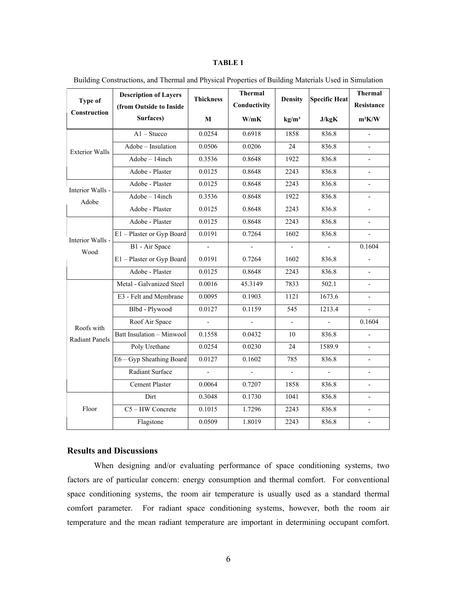#### **TABLE 1**

| <b>Type of</b><br>Construction      | <b>Description of Layers</b><br>(from Outside to Inside | <b>Thickness</b>         | <b>Thermal</b><br>Conductivity | <b>Density</b>           | <b>Specific Heat</b> | Thermal<br>Resistance    |
|-------------------------------------|---------------------------------------------------------|--------------------------|--------------------------------|--------------------------|----------------------|--------------------------|
|                                     | Surfaces)                                               | M                        | W/mK                           | kg/m <sup>3</sup>        | J/kgK                | $m^2K/W$                 |
| <b>Exterior Walls</b>               | $A1 - Stucco$                                           | 0.0254                   | 0.6918                         | 1858                     | 836.8                | $\frac{1}{2}$            |
|                                     | Adobe - Insulation                                      | 0.0506                   | 0.0206                         | 24                       | 836.8                | $\overline{\phantom{0}}$ |
|                                     | Adobe - 14inch                                          | 0.3536                   | 0.8648                         | 1922                     | 836.8                |                          |
|                                     | Adobe - Plaster                                         | 0.0125                   | 0.8648                         | 2243                     | 836.8                | $\overline{\phantom{0}}$ |
| Interior Walls -<br>Adobe           | Adobe - Plaster                                         | 0.0125                   | 0.8648                         | 2243                     | 836.8                | $\overline{\phantom{0}}$ |
|                                     | Adobe - 14inch                                          | 0.3536                   | 0.8648                         | 1922                     | 836.8                | $\overline{\phantom{0}}$ |
|                                     | Adobe - Plaster                                         | 0.0125                   | 0.8648                         | 2243                     | 836.8                |                          |
| Interior Walls -<br>Wood            | Adobe - Plaster                                         | 0.0125                   | 0.8648                         | 2243                     | 836.8                | $\overline{\phantom{0}}$ |
|                                     | E1 - Plaster or Gyp Board                               | 0.0191                   | 0.7264                         | 1602                     | 836.8                | $\overline{a}$           |
|                                     | B1 - Air Space                                          | $\overline{\phantom{a}}$ | ÷,                             | $\mathbf{r}$             | $\blacksquare$       | 0.1604                   |
|                                     | E1 - Plaster or Gyp Board                               | 0.0191                   | 0.7264                         | 1602                     | 836.8                |                          |
|                                     | Adobe - Plaster                                         | 0.0125                   | 0.8648                         | 2243                     | 836.8                |                          |
| Roofs with<br><b>Radiant Panels</b> | Metal - Galvanized Steel                                | 0.0016                   | 45.3149                        | 7833                     | 502.1                | $\overline{\phantom{0}}$ |
|                                     | E3 - Felt and Membrane                                  | 0.0095                   | 0.1903                         | 1121                     | 1673.6               | $\overline{a}$           |
|                                     | Blbd - Plywood                                          | 0.0127                   | 0.1159                         | 545                      | 1213.4               |                          |
|                                     | Roof Air Space                                          |                          |                                | $\overline{\phantom{a}}$ |                      | 0.1604                   |
|                                     | Batt Insulation - Minwool                               | 0.1558                   | 0.0432                         | 10                       | 836.8                | $\overline{a}$           |
|                                     | Poly Urethane                                           | 0.0254                   | 0.0230                         | 24                       | 1589.9               | $\overline{\phantom{0}}$ |
|                                     | E6 - Gyp Sheathing Board                                | 0.0127                   | 0.1602                         | 785                      | 836.8                | $\overline{\phantom{0}}$ |
|                                     | Radiant Surface                                         |                          |                                | $\overline{a}$           |                      |                          |
|                                     | <b>Cement Plaster</b>                                   | 0.0064                   | 0.7207                         | 1858                     | 836.8                | $\overline{\phantom{0}}$ |
| Floor                               | Dirt                                                    | 0.3048                   | 0.1730                         | 1041                     | 836.8                | $\overline{a}$           |
|                                     | C5-HW Concrete                                          | 0.1015                   | 1.7296                         | 2243                     | 836.8                | $\overline{\phantom{a}}$ |
|                                     | Flagstone                                               | 0.0509                   | 1.8019                         | 2243                     | 836.8                |                          |

Building Constructions, and Thermal and Physical Properties of Building Materials Used in Simulation

## **Results and Discussions**

When designing and/or evaluating performance of space conditioning systems, two factors are of particular concern: energy consumption and thermal comfort. For conventional space conditioning systems, the room air temperature is usually used as a standard thermal comfort parameter. For radiant space conditioning systems, however, both the room air temperature and the mean radiant temperature are important in determining occupant comfort.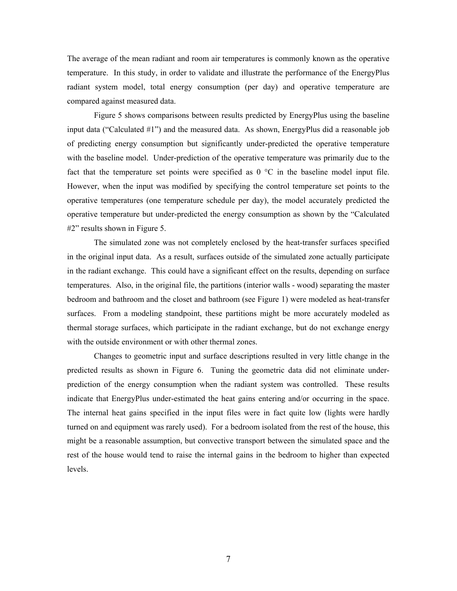The average of the mean radiant and room air temperatures is commonly known as the operative temperature. In this study, in order to validate and illustrate the performance of the EnergyPlus radiant system model, total energy consumption (per day) and operative temperature are compared against measured data.

Figure 5 shows comparisons between results predicted by EnergyPlus using the baseline input data ("Calculated #1") and the measured data. As shown, EnergyPlus did a reasonable job of predicting energy consumption but significantly under-predicted the operative temperature with the baseline model. Under-prediction of the operative temperature was primarily due to the fact that the temperature set points were specified as  $0^{\circ}$ C in the baseline model input file. However, when the input was modified by specifying the control temperature set points to the operative temperatures (one temperature schedule per day), the model accurately predicted the operative temperature but under-predicted the energy consumption as shown by the "Calculated #2" results shown in Figure 5.

The simulated zone was not completely enclosed by the heat-transfer surfaces specified in the original input data. As a result, surfaces outside of the simulated zone actually participate in the radiant exchange. This could have a significant effect on the results, depending on surface temperatures. Also, in the original file, the partitions (interior walls - wood) separating the master bedroom and bathroom and the closet and bathroom (see Figure 1) were modeled as heat-transfer surfaces. From a modeling standpoint, these partitions might be more accurately modeled as thermal storage surfaces, which participate in the radiant exchange, but do not exchange energy with the outside environment or with other thermal zones.

Changes to geometric input and surface descriptions resulted in very little change in the predicted results as shown in Figure 6. Tuning the geometric data did not eliminate underprediction of the energy consumption when the radiant system was controlled. These results indicate that EnergyPlus under-estimated the heat gains entering and/or occurring in the space. The internal heat gains specified in the input files were in fact quite low (lights were hardly turned on and equipment was rarely used). For a bedroom isolated from the rest of the house, this might be a reasonable assumption, but convective transport between the simulated space and the rest of the house would tend to raise the internal gains in the bedroom to higher than expected levels.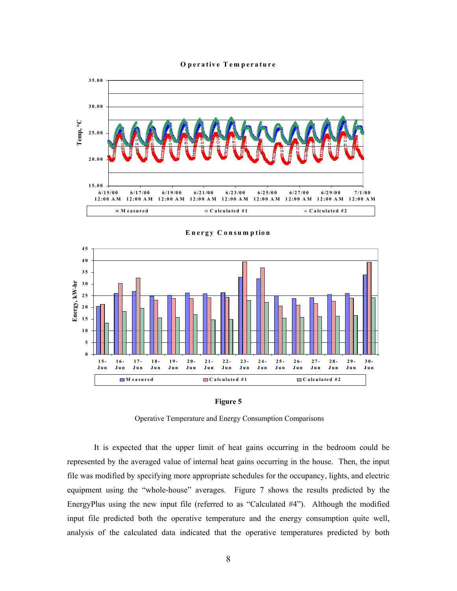#### **O perative Tem perature**



**Energy C onsum ption**





Operative Temperature and Energy Consumption Comparisons

It is expected that the upper limit of heat gains occurring in the bedroom could be represented by the averaged value of internal heat gains occurring in the house. Then, the input file was modified by specifying more appropriate schedules for the occupancy, lights, and electric equipment using the "whole-house" averages. Figure 7 shows the results predicted by the EnergyPlus using the new input file (referred to as "Calculated #4"). Although the modified input file predicted both the operative temperature and the energy consumption quite well, analysis of the calculated data indicated that the operative temperatures predicted by both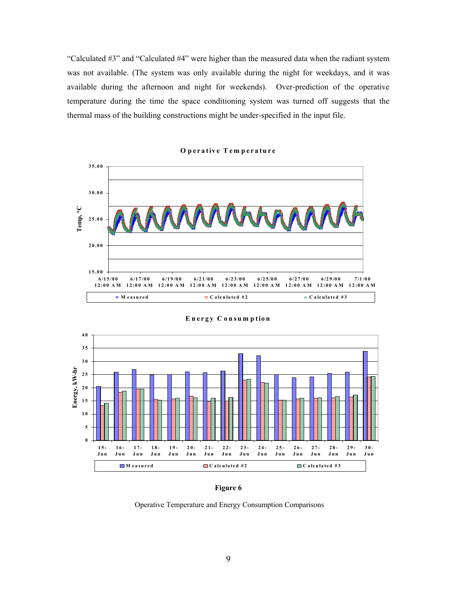"Calculated #3" and "Calculated #4" were higher than the measured data when the radiant system was not available. (The system was only available during the night for weekdays, and it was available during the afternoon and night for weekends). Over-prediction of the operative temperature during the time the space conditioning system was turned off suggests that the thermal mass of the building constructions might be under-specified in the input file.



**O perative Tem perature**



**Energy C onsum ption**

**Figure 6** 

Operative Temperature and Energy Consumption Comparisons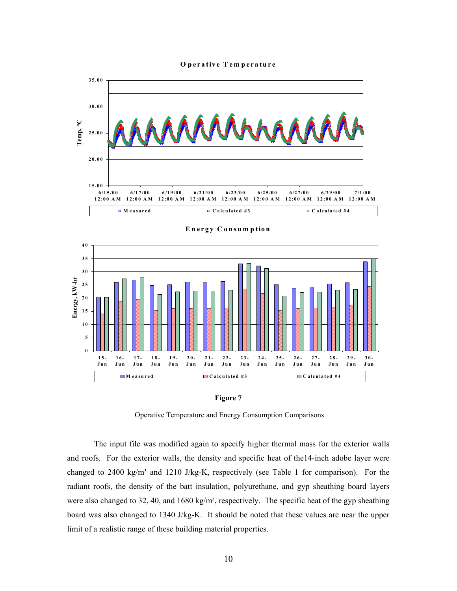**O perative T em perature**



**E nergy C onsum ption**





Operative Temperature and Energy Consumption Comparisons

The input file was modified again to specify higher thermal mass for the exterior walls and roofs. For the exterior walls, the density and specific heat of the14-inch adobe layer were changed to 2400 kg/m<sup>3</sup> and 1210 J/kg-K, respectively (see Table 1 for comparison). For the radiant roofs, the density of the batt insulation, polyurethane, and gyp sheathing board layers were also changed to 32, 40, and 1680 kg/m<sup>3</sup>, respectively. The specific heat of the gyp sheathing board was also changed to 1340 J/kg-K. It should be noted that these values are near the upper limit of a realistic range of these building material properties.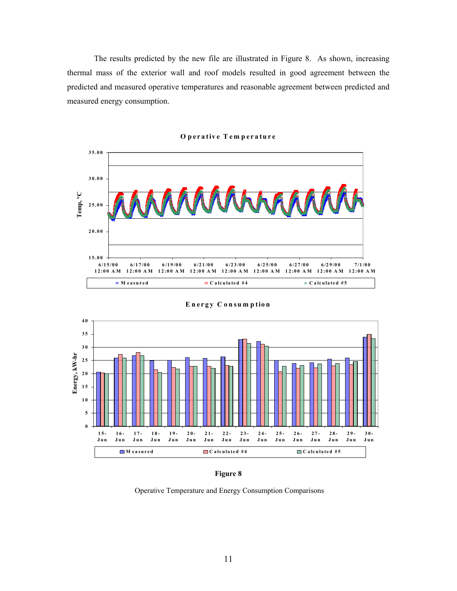The results predicted by the new file are illustrated in Figure 8. As shown, increasing thermal mass of the exterior wall and roof models resulted in good agreement between the predicted and measured operative temperatures and reasonable agreement between predicted and measured energy consumption.



#### **O perative T em perature**



**E nergy C onsum ption**



Operative Temperature and Energy Consumption Comparisons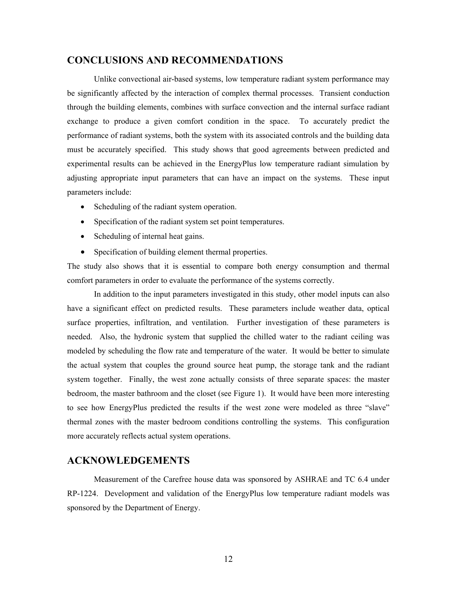## **CONCLUSIONS AND RECOMMENDATIONS**

Unlike convectional air-based systems, low temperature radiant system performance may be significantly affected by the interaction of complex thermal processes. Transient conduction through the building elements, combines with surface convection and the internal surface radiant exchange to produce a given comfort condition in the space. To accurately predict the performance of radiant systems, both the system with its associated controls and the building data must be accurately specified. This study shows that good agreements between predicted and experimental results can be achieved in the EnergyPlus low temperature radiant simulation by adjusting appropriate input parameters that can have an impact on the systems. These input parameters include:

- Scheduling of the radiant system operation.
- Specification of the radiant system set point temperatures.
- Scheduling of internal heat gains.
- Specification of building element thermal properties.

The study also shows that it is essential to compare both energy consumption and thermal comfort parameters in order to evaluate the performance of the systems correctly.

In addition to the input parameters investigated in this study, other model inputs can also have a significant effect on predicted results. These parameters include weather data, optical surface properties, infiltration, and ventilation. Further investigation of these parameters is needed. Also, the hydronic system that supplied the chilled water to the radiant ceiling was modeled by scheduling the flow rate and temperature of the water. It would be better to simulate the actual system that couples the ground source heat pump, the storage tank and the radiant system together. Finally, the west zone actually consists of three separate spaces: the master bedroom, the master bathroom and the closet (see Figure 1). It would have been more interesting to see how EnergyPlus predicted the results if the west zone were modeled as three "slave" thermal zones with the master bedroom conditions controlling the systems. This configuration more accurately reflects actual system operations.

## **ACKNOWLEDGEMENTS**

Measurement of the Carefree house data was sponsored by ASHRAE and TC 6.4 under RP-1224. Development and validation of the EnergyPlus low temperature radiant models was sponsored by the Department of Energy.